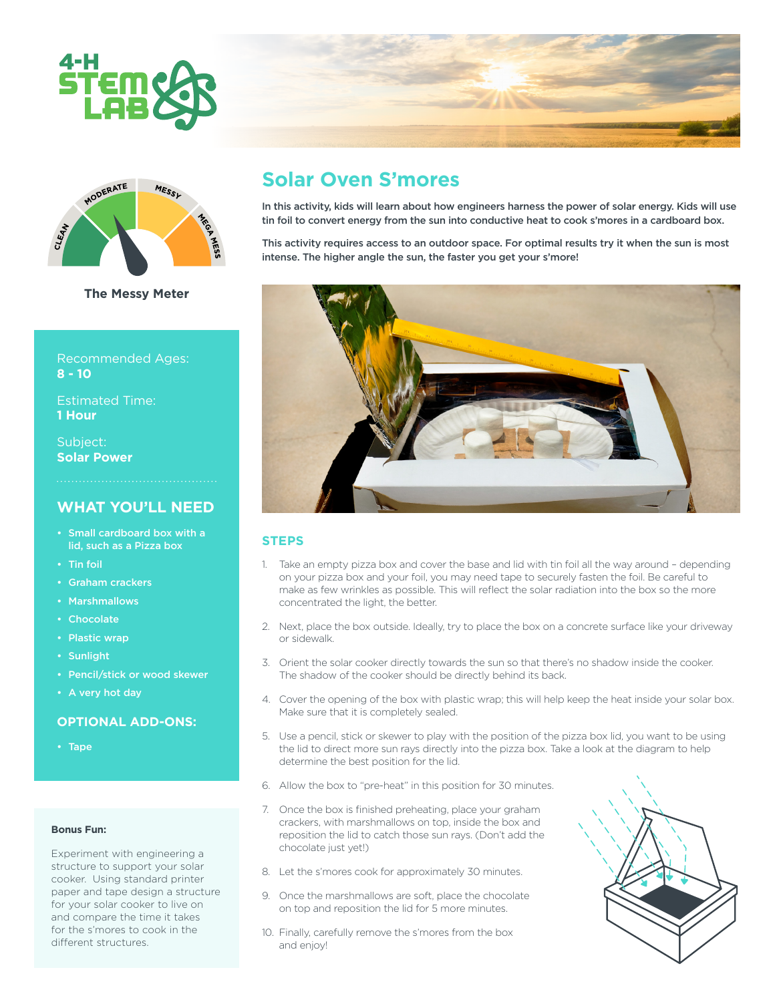



**The Messy Meter**

Recommended Ages: **8 - 10**

Estimated Time: **1 Hour**

Subject: **Solar Power**

# **WHAT YOU'LL NEED**

- Small cardboard box with a lid, such as a Pizza box
- Tin foil
- Graham crackers
- Marshmallows
- Chocolate
- Plastic wrap
- Sunlight
- Pencil/stick or wood skewer
- A very hot day

#### **OPTIONAL ADD-ONS:**

• Tape

#### **Bonus Fun:**

Experiment with engineering a structure to support your solar cooker. Using standard printer paper and tape design a structure for your solar cooker to live on and compare the time it takes for the s'mores to cook in the different structures.

# **Solar Oven S'mores**

In this activity, kids will learn about how engineers harness the power of solar energy. Kids will use tin foil to convert energy from the sun into conductive heat to cook s'mores in a cardboard box.

This activity requires access to an outdoor space. For optimal results try it when the sun is most intense. The higher angle the sun, the faster you get your s'more!



#### **STEPS**

- 1. Take an empty pizza box and cover the base and lid with tin foil all the way around depending on your pizza box and your foil, you may need tape to securely fasten the foil. Be careful to make as few wrinkles as possible. This will reflect the solar radiation into the box so the more concentrated the light, the better.
- 2. Next, place the box outside. Ideally, try to place the box on a concrete surface like your driveway or sidewalk.
- 3. Orient the solar cooker directly towards the sun so that there's no shadow inside the cooker. The shadow of the cooker should be directly behind its back.
- 4. Cover the opening of the box with plastic wrap; this will help keep the heat inside your solar box. Make sure that it is completely sealed.
- 5. Use a pencil, stick or skewer to play with the position of the pizza box lid, you want to be using the lid to direct more sun rays directly into the pizza box. Take a look at the diagram to help determine the best position for the lid.
- 6. Allow the box to "pre-heat" in this position for 30 minutes.
- 7. Once the box is finished preheating, place your graham crackers, with marshmallows on top, inside the box and reposition the lid to catch those sun rays. (Don't add the chocolate just yet!)
- 8. Let the s'mores cook for approximately 30 minutes.
- 9. Once the marshmallows are soft, place the chocolate on top and reposition the lid for 5 more minutes.
- 10. Finally, carefully remove the s'mores from the box and enjoy!